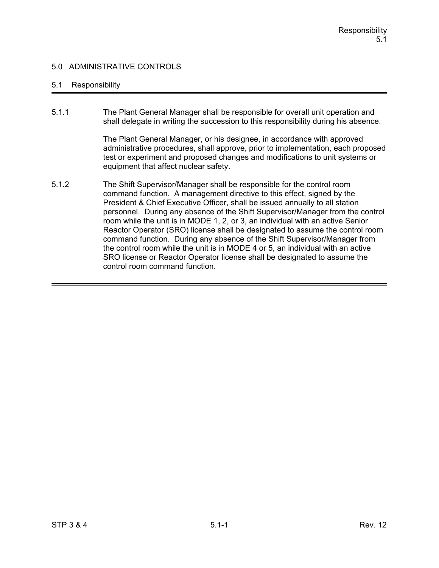## 5.1 Responsibility

5.1.1 The Plant General Manager shall be responsible for overall unit operation and shall delegate in writing the succession to this responsibility during his absence.

> The Plant General Manager, or his designee, in accordance with approved administrative procedures, shall approve, prior to implementation, each proposed test or experiment and proposed changes and modifications to unit systems or equipment that affect nuclear safety.

5.1.2 The Shift Supervisor/Manager shall be responsible for the control room command function. A management directive to this effect, signed by the President & Chief Executive Officer, shall be issued annually to all station personnel. During any absence of the Shift Supervisor/Manager from the control room while the unit is in MODE 1, 2, or 3, an individual with an active Senior Reactor Operator (SRO) license shall be designated to assume the control room command function. During any absence of the Shift Supervisor/Manager from the control room while the unit is in MODE 4 or 5, an individual with an active SRO license or Reactor Operator license shall be designated to assume the control room command function.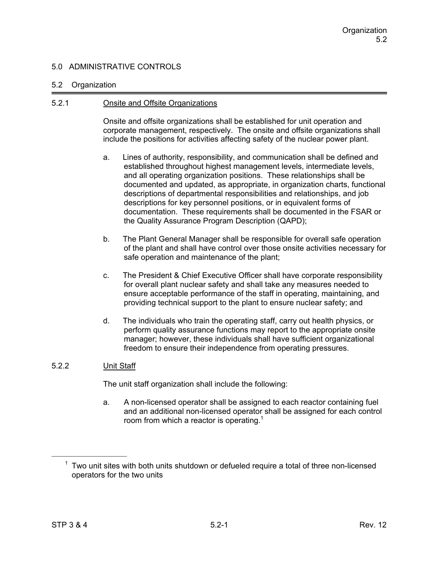### 5.2 Organization

### 5.2.1 Onsite and Offsite Organizations

Onsite and offsite organizations shall be established for unit operation and corporate management, respectively. The onsite and offsite organizations shall include the positions for activities affecting safety of the nuclear power plant.

- a. Lines of authority, responsibility, and communication shall be defined and established throughout highest management levels, intermediate levels, and all operating organization positions. These relationships shall be documented and updated, as appropriate, in organization charts, functional descriptions of departmental responsibilities and relationships, and job descriptions for key personnel positions, or in equivalent forms of documentation. These requirements shall be documented in the FSAR or the Quality Assurance Program Description (QAPD);
- b. The Plant General Manager shall be responsible for overall safe operation of the plant and shall have control over those onsite activities necessary for safe operation and maintenance of the plant;
- c. The President & Chief Executive Officer shall have corporate responsibility for overall plant nuclear safety and shall take any measures needed to ensure acceptable performance of the staff in operating, maintaining, and providing technical support to the plant to ensure nuclear safety; and
- d. The individuals who train the operating staff, carry out health physics, or perform quality assurance functions may report to the appropriate onsite manager; however, these individuals shall have sufficient organizational freedom to ensure their independence from operating pressures.

## 5.2.2 Unit Staff

The unit staff organization shall include the following:

a. A non-licensed operator shall be assigned to each reactor containing fuel and an additional non-licensed operator shall be assigned for each control room from which a reactor is operating.<sup>1</sup>

 $1$  Two unit sites with both units shutdown or defueled require a total of three non-licensed operators for the two units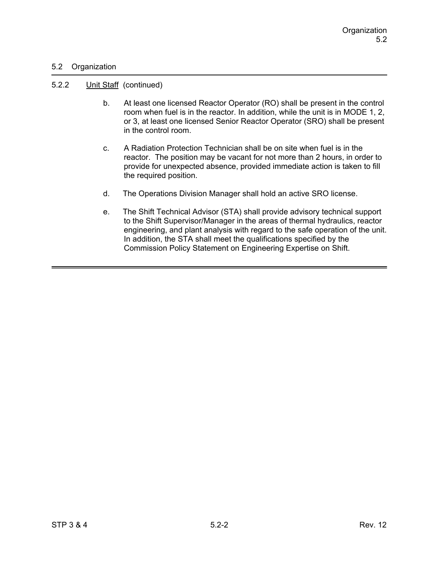## 5.2 Organization

#### 5.2.2 Unit Staff (continued)

- b. At least one licensed Reactor Operator (RO) shall be present in the control room when fuel is in the reactor. In addition, while the unit is in MODE 1, 2, or 3, at least one licensed Senior Reactor Operator (SRO) shall be present in the control room.
- c. A Radiation Protection Technician shall be on site when fuel is in the reactor. The position may be vacant for not more than 2 hours, in order to provide for unexpected absence, provided immediate action is taken to fill the required position.
- d. The Operations Division Manager shall hold an active SRO license.
- e. The Shift Technical Advisor (STA) shall provide advisory technical support to the Shift Supervisor/Manager in the areas of thermal hydraulics, reactor engineering, and plant analysis with regard to the safe operation of the unit. In addition, the STA shall meet the qualifications specified by the Commission Policy Statement on Engineering Expertise on Shift.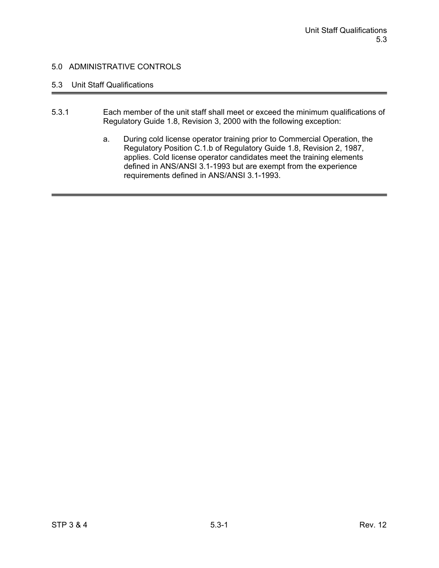# 5.3 Unit Staff Qualifications

- 5.3.1 Each member of the unit staff shall meet or exceed the minimum qualifications of Regulatory Guide 1.8, Revision 3, 2000 with the following exception:
	- a. During cold license operator training prior to Commercial Operation, the Regulatory Position C.1.b of Regulatory Guide 1.8, Revision 2, 1987, applies. Cold license operator candidates meet the training elements defined in ANS/ANSI 3.1-1993 but are exempt from the experience requirements defined in ANS/ANSI 3.1-1993.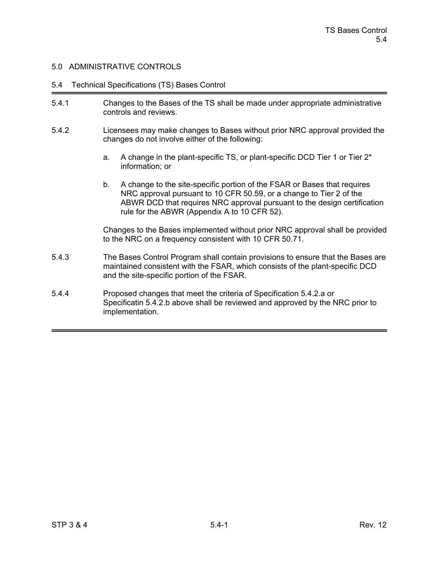#### 5.4 Technical Specifications (TS) Bases Control

- 5.4.1 Changes to the Bases of the TS shall be made under appropriate administrative controls and reviews.
- 5.4.2 Licensees may make changes to Bases without prior NRC approval provided the changes do not involve either of the following:
	- a. A change in the plant-specific TS, or plant-specific DCD Tier 1 or Tier 2\* information; or
	- b. A change to the site-specific portion of the FSAR or Bases that requires NRC approval pursuant to 10 CFR 50.59, or a change to Tier 2 of the ABWR DCD that requires NRC approval pursuant to the design certification rule for the ABWR (Appendix A to 10 CFR 52).

Changes to the Bases implemented without prior NRC approval shall be provided to the NRC on a frequency consistent with 10 CFR 50.71.

- 5.4.3 The Bases Control Program shall contain provisions to ensure that the Bases are maintained consistent with the FSAR, which consists of the plant-specific DCD and the site-specific portion of the FSAR.
- 5.4.4 Proposed changes that meet the criteria of Specification 5.4.2.a or Specificatin 5.4.2.b above shall be reviewed and approved by the NRC prior to implementation.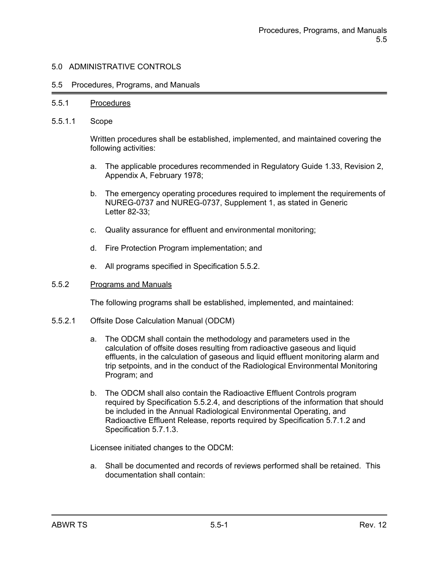#### 5.5 Procedures, Programs, and Manuals

#### 5.5.1 Procedures

5.5.1.1 Scope

Written procedures shall be established, implemented, and maintained covering the following activities:

- a. The applicable procedures recommended in Regulatory Guide 1.33, Revision 2, Appendix A, February 1978;
- b. The emergency operating procedures required to implement the requirements of NUREG-0737 and NUREG-0737, Supplement 1, as stated in Generic Letter 82-33;
- c. Quality assurance for effluent and environmental monitoring;
- d. Fire Protection Program implementation; and
- e. All programs specified in Specification 5.5.2.

#### 5.5.2 Programs and Manuals

The following programs shall be established, implemented, and maintained:

- 5.5.2.1 Offsite Dose Calculation Manual (ODCM)
	- a. The ODCM shall contain the methodology and parameters used in the calculation of offsite doses resulting from radioactive gaseous and liquid effluents, in the calculation of gaseous and liquid effluent monitoring alarm and trip setpoints, and in the conduct of the Radiological Environmental Monitoring Program; and
	- b. The ODCM shall also contain the Radioactive Effluent Controls program required by Specification 5.5.2.4, and descriptions of the information that should be included in the Annual Radiological Environmental Operating, and Radioactive Effluent Release, reports required by Specification 5.7.1.2 and Specification 5.7.1.3.

Licensee initiated changes to the ODCM:

a. Shall be documented and records of reviews performed shall be retained. This documentation shall contain: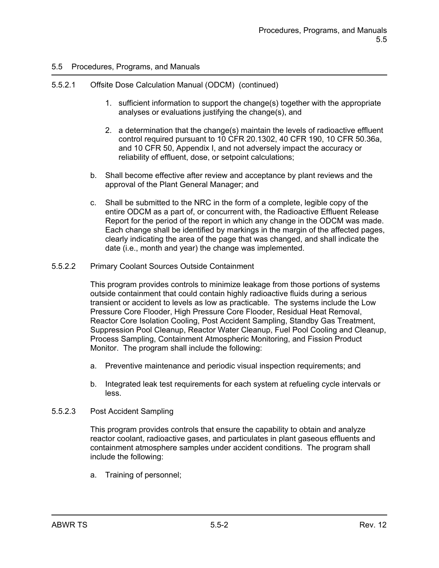## 5.5.2.1 Offsite Dose Calculation Manual (ODCM) (continued)

- 1. sufficient information to support the change(s) together with the appropriate analyses or evaluations justifying the change(s), and
- 2. a determination that the change(s) maintain the levels of radioactive effluent control required pursuant to 10 CFR 20.1302, 40 CFR 190, 10 CFR 50.36a, and 10 CFR 50, Appendix I, and not adversely impact the accuracy or reliability of effluent, dose, or setpoint calculations;
- b. Shall become effective after review and acceptance by plant reviews and the approval of the Plant General Manager; and
- c. Shall be submitted to the NRC in the form of a complete, legible copy of the entire ODCM as a part of, or concurrent with, the Radioactive Effluent Release Report for the period of the report in which any change in the ODCM was made. Each change shall be identified by markings in the margin of the affected pages, clearly indicating the area of the page that was changed, and shall indicate the date (i.e., month and year) the change was implemented.
- 5.5.2.2 Primary Coolant Sources Outside Containment

This program provides controls to minimize leakage from those portions of systems outside containment that could contain highly radioactive fluids during a serious transient or accident to levels as low as practicable. The systems include the Low Pressure Core Flooder, High Pressure Core Flooder, Residual Heat Removal, Reactor Core Isolation Cooling, Post Accident Sampling, Standby Gas Treatment, Suppression Pool Cleanup, Reactor Water Cleanup, Fuel Pool Cooling and Cleanup, Process Sampling, Containment Atmospheric Monitoring, and Fission Product Monitor. The program shall include the following:

- a. Preventive maintenance and periodic visual inspection requirements; and
- b. Integrated leak test requirements for each system at refueling cycle intervals or less.
- 5.5.2.3 Post Accident Sampling

This program provides controls that ensure the capability to obtain and analyze reactor coolant, radioactive gases, and particulates in plant gaseous effluents and containment atmosphere samples under accident conditions. The program shall include the following:

a. Training of personnel;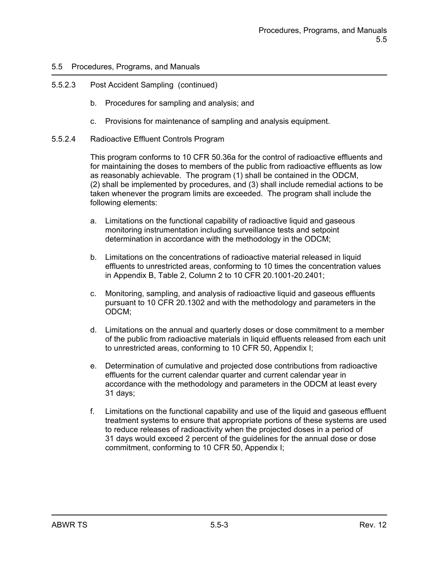## 5.5.2.3 Post Accident Sampling (continued)

- b. Procedures for sampling and analysis; and
- c. Provisions for maintenance of sampling and analysis equipment.
- 5.5.2.4 Radioactive Effluent Controls Program

This program conforms to 10 CFR 50.36a for the control of radioactive effluents and for maintaining the doses to members of the public from radioactive effluents as low as reasonably achievable. The program (1) shall be contained in the ODCM, (2) shall be implemented by procedures, and (3) shall include remedial actions to be taken whenever the program limits are exceeded. The program shall include the following elements:

- a. Limitations on the functional capability of radioactive liquid and gaseous monitoring instrumentation including surveillance tests and setpoint determination in accordance with the methodology in the ODCM;
- b. Limitations on the concentrations of radioactive material released in liquid effluents to unrestricted areas, conforming to 10 times the concentration values in Appendix B, Table 2, Column 2 to 10 CFR 20.1001-20.2401;
- c. Monitoring, sampling, and analysis of radioactive liquid and gaseous effluents pursuant to 10 CFR 20.1302 and with the methodology and parameters in the ODCM;
- d. Limitations on the annual and quarterly doses or dose commitment to a member of the public from radioactive materials in liquid effluents released from each unit to unrestricted areas, conforming to 10 CFR 50, Appendix I;
- e. Determination of cumulative and projected dose contributions from radioactive effluents for the current calendar quarter and current calendar year in accordance with the methodology and parameters in the ODCM at least every 31 days;
- f. Limitations on the functional capability and use of the liquid and gaseous effluent treatment systems to ensure that appropriate portions of these systems are used to reduce releases of radioactivity when the projected doses in a period of 31 days would exceed 2 percent of the guidelines for the annual dose or dose commitment, conforming to 10 CFR 50, Appendix I;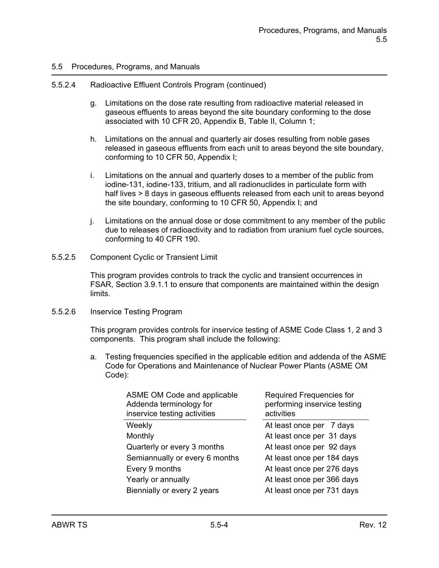#### 5.5.2.4 Radioactive Effluent Controls Program (continued)

- g. Limitations on the dose rate resulting from radioactive material released in gaseous effluents to areas beyond the site boundary conforming to the dose associated with 10 CFR 20, Appendix B, Table II, Column 1;
- h. Limitations on the annual and quarterly air doses resulting from noble gases released in gaseous effluents from each unit to areas beyond the site boundary, conforming to 10 CFR 50, Appendix I;
- i. Limitations on the annual and quarterly doses to a member of the public from iodine-131, iodine-133, tritium, and all radionuclides in particulate form with half lives > 8 days in gaseous effluents released from each unit to areas beyond the site boundary, conforming to 10 CFR 50, Appendix I; and
- j. Limitations on the annual dose or dose commitment to any member of the public due to releases of radioactivity and to radiation from uranium fuel cycle sources, conforming to 40 CFR 190.
- 5.5.2.5 Component Cyclic or Transient Limit

This program provides controls to track the cyclic and transient occurrences in FSAR, Section 3.9.1.1 to ensure that components are maintained within the design limits.

#### 5.5.2.6 Inservice Testing Program

This program provides controls for inservice testing of ASME Code Class 1, 2 and 3 components. This program shall include the following:

a. Testing frequencies specified in the applicable edition and addenda of the ASME Code for Operations and Maintenance of Nuclear Power Plants (ASME OM Code):

| ASME OM Code and applicable<br>Addenda terminology for<br>inservice testing activities | Required Frequencies for<br>performing inservice testing<br>activities |
|----------------------------------------------------------------------------------------|------------------------------------------------------------------------|
| Weekly                                                                                 | At least once per 7 days                                               |
| Monthly                                                                                | At least once per 31 days                                              |
| Quarterly or every 3 months                                                            | At least once per 92 days                                              |
| Semiannually or every 6 months                                                         | At least once per 184 days                                             |
| Every 9 months                                                                         | At least once per 276 days                                             |
| Yearly or annually                                                                     | At least once per 366 days                                             |
| Biennially or every 2 years                                                            | At least once per 731 days                                             |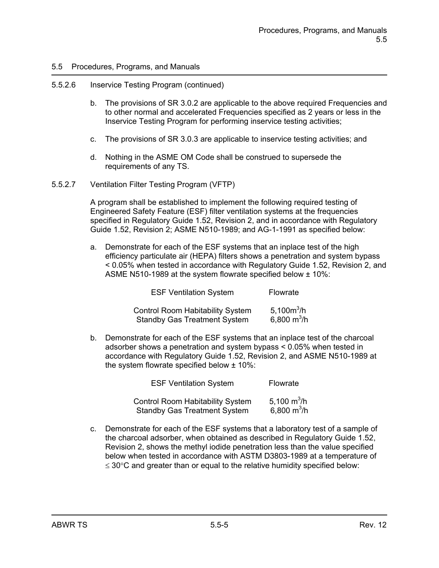#### 5.5.2.6 Inservice Testing Program (continued)

- b. The provisions of SR 3.0.2 are applicable to the above required Frequencies and to other normal and accelerated Frequencies specified as 2 years or less in the Inservice Testing Program for performing inservice testing activities;
- c. The provisions of SR 3.0.3 are applicable to inservice testing activities; and
- d. Nothing in the ASME OM Code shall be construed to supersede the requirements of any TS.
- 5.5.2.7 Ventilation Filter Testing Program (VFTP)

A program shall be established to implement the following required testing of Engineered Safety Feature (ESF) filter ventilation systems at the frequencies specified in Regulatory Guide 1.52, Revision 2, and in accordance with Regulatory Guide 1.52, Revision 2; ASME N510-1989; and AG-1-1991 as specified below:

a. Demonstrate for each of the ESF systems that an inplace test of the high efficiency particulate air (HEPA) filters shows a penetration and system bypass < 0.05% when tested in accordance with Regulatory Guide 1.52, Revision 2, and ASME N510-1989 at the system flowrate specified below ± 10%:

| <b>ESF Ventilation System</b>           | Flowrate      |  |
|-----------------------------------------|---------------|--|
| <b>Control Room Habitability System</b> | 5,100 $m^3/h$ |  |
| <b>Standby Gas Treatment System</b>     | 6,800 $m^3/h$ |  |

b. Demonstrate for each of the ESF systems that an inplace test of the charcoal adsorber shows a penetration and system bypass < 0.05% when tested in accordance with Regulatory Guide 1.52, Revision 2, and ASME N510-1989 at the system flowrate specified below ± 10%:

| <b>ESF Ventilation System</b>                                                  | Flowrate                       |
|--------------------------------------------------------------------------------|--------------------------------|
| <b>Control Room Habitability System</b><br><b>Standby Gas Treatment System</b> | 5,100 $m^3/h$<br>6,800 $m^3/h$ |

c. Demonstrate for each of the ESF systems that a laboratory test of a sample of the charcoal adsorber, when obtained as described in Regulatory Guide 1.52, Revision 2, shows the methyl iodide penetration less than the value specified below when tested in accordance with ASTM D3803-1989 at a temperature of  $\leq$  30 $\degree$ C and greater than or equal to the relative humidity specified below: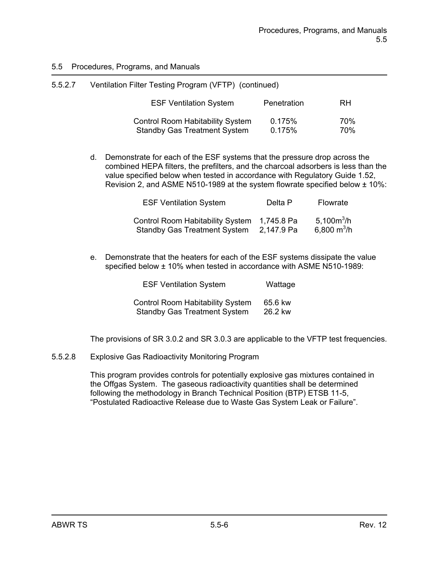| 5.5.2.7 | Ventilation Filter Testing Program (VFTP) (continued)                          |                  |            |
|---------|--------------------------------------------------------------------------------|------------------|------------|
|         | <b>ESF Ventilation System</b>                                                  | Penetration      | <b>RH</b>  |
|         | <b>Control Room Habitability System</b><br><b>Standby Gas Treatment System</b> | 0.175%<br>0.175% | 70%<br>70% |

d. Demonstrate for each of the ESF systems that the pressure drop across the combined HEPA filters, the prefilters, and the charcoal adsorbers is less than the value specified below when tested in accordance with Regulatory Guide 1.52, Revision 2, and ASME N510-1989 at the system flowrate specified below  $\pm$  10%:

| <b>ESF Ventilation System</b>                                               | Delta P    | Flowrate                                 |
|-----------------------------------------------------------------------------|------------|------------------------------------------|
| Control Room Habitability System 1,745.8 Pa<br>Standby Gas Treatment System | 2,147.9 Pa | 5,100 $m^3/h$<br>6,800 m <sup>3</sup> /h |

e. Demonstrate that the heaters for each of the ESF systems dissipate the value specified below ± 10% when tested in accordance with ASME N510-1989:

| <b>ESF Ventilation System</b>           | Wattage |
|-----------------------------------------|---------|
| <b>Control Room Habitability System</b> | 65.6 kw |
| <b>Standby Gas Treatment System</b>     | 26.2 kw |

The provisions of SR 3.0.2 and SR 3.0.3 are applicable to the VFTP test frequencies.

5.5.2.8 Explosive Gas Radioactivity Monitoring Program

This program provides controls for potentially explosive gas mixtures contained in the Offgas System. The gaseous radioactivity quantities shall be determined following the methodology in Branch Technical Position (BTP) ETSB 11-5, "Postulated Radioactive Release due to Waste Gas System Leak or Failure".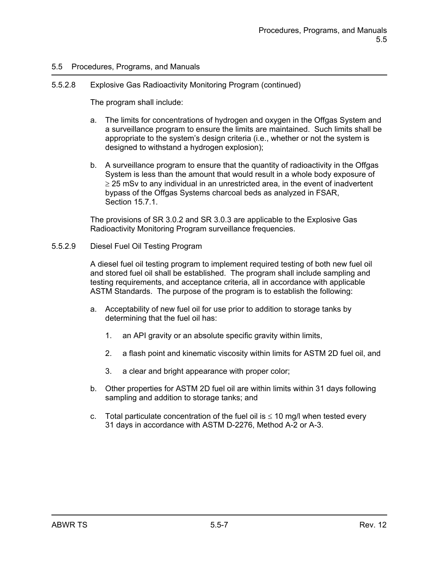#### 5.5.2.8 Explosive Gas Radioactivity Monitoring Program (continued)

The program shall include:

- a. The limits for concentrations of hydrogen and oxygen in the Offgas System and a surveillance program to ensure the limits are maintained. Such limits shall be appropriate to the system's design criteria (i.e., whether or not the system is designed to withstand a hydrogen explosion);
- b. A surveillance program to ensure that the quantity of radioactivity in the Offgas System is less than the amount that would result in a whole body exposure of  $\geq$  25 mSv to any individual in an unrestricted area, in the event of inadvertent bypass of the Offgas Systems charcoal beds as analyzed in FSAR, Section 15.7.1.

The provisions of SR 3.0.2 and SR 3.0.3 are applicable to the Explosive Gas Radioactivity Monitoring Program surveillance frequencies.

#### 5.5.2.9 Diesel Fuel Oil Testing Program

A diesel fuel oil testing program to implement required testing of both new fuel oil and stored fuel oil shall be established. The program shall include sampling and testing requirements, and acceptance criteria, all in accordance with applicable ASTM Standards. The purpose of the program is to establish the following:

- a. Acceptability of new fuel oil for use prior to addition to storage tanks by determining that the fuel oil has:
	- 1. an API gravity or an absolute specific gravity within limits,
	- 2. a flash point and kinematic viscosity within limits for ASTM 2D fuel oil, and
	- 3. a clear and bright appearance with proper color;
- b. Other properties for ASTM 2D fuel oil are within limits within 31 days following sampling and addition to storage tanks; and
- c. Total particulate concentration of the fuel oil is  $\leq 10$  mg/l when tested every 31 days in accordance with ASTM D-2276, Method A-2 or A-3.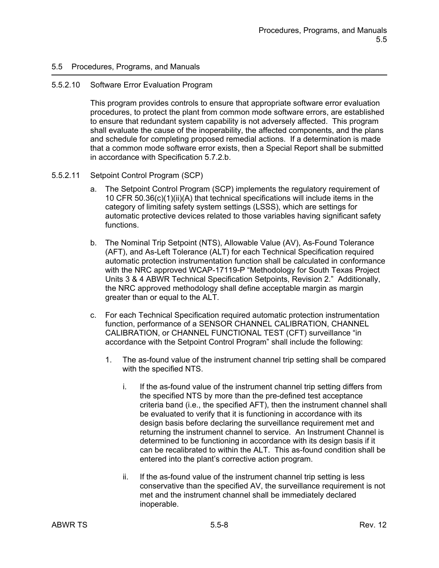#### 5.5.2.10 Software Error Evaluation Program

This program provides controls to ensure that appropriate software error evaluation procedures, to protect the plant from common mode software errors, are established to ensure that redundant system capability is not adversely affected. This program shall evaluate the cause of the inoperability, the affected components, and the plans and schedule for completing proposed remedial actions. If a determination is made that a common mode software error exists, then a Special Report shall be submitted in accordance with Specification 5.7.2.b.

### 5.5.2.11 Setpoint Control Program (SCP)

- a. The Setpoint Control Program (SCP) implements the regulatory requirement of 10 CFR 50.36(c)(1)(ii)(A) that technical specifications will include items in the category of limiting safety system settings (LSSS), which are settings for automatic protective devices related to those variables having significant safety functions.
- b. The Nominal Trip Setpoint (NTS), Allowable Value (AV), As-Found Tolerance (AFT), and As-Left Tolerance (ALT) for each Technical Specification required automatic protection instrumentation function shall be calculated in conformance with the NRC approved WCAP-17119-P "Methodology for South Texas Project Units 3 & 4 ABWR Technical Specification Setpoints, Revision 2." Additionally, the NRC approved methodology shall define acceptable margin as margin greater than or equal to the ALT.
- c. For each Technical Specification required automatic protection instrumentation function, performance of a SENSOR CHANNEL CALIBRATION, CHANNEL CALIBRATION, or CHANNEL FUNCTIONAL TEST (CFT) surveillance "in accordance with the Setpoint Control Program" shall include the following:
	- 1. The as-found value of the instrument channel trip setting shall be compared with the specified NTS.
		- i. If the as-found value of the instrument channel trip setting differs from the specified NTS by more than the pre-defined test acceptance criteria band (i.e., the specified AFT), then the instrument channel shall be evaluated to verify that it is functioning in accordance with its design basis before declaring the surveillance requirement met and returning the instrument channel to service. An Instrument Channel is determined to be functioning in accordance with its design basis if it can be recalibrated to within the ALT. This as-found condition shall be entered into the plant's corrective action program.
		- ii. If the as-found value of the instrument channel trip setting is less conservative than the specified AV, the surveillance requirement is not met and the instrument channel shall be immediately declared inoperable.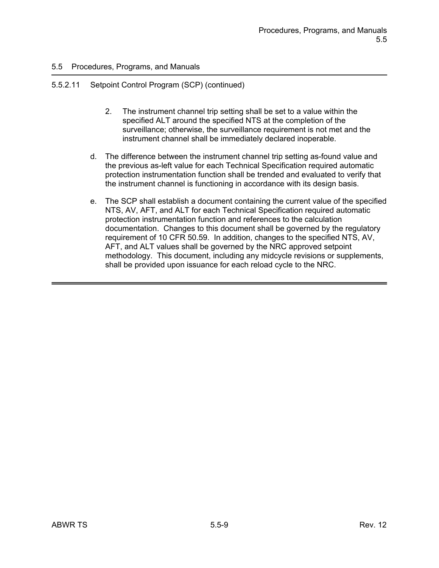## 5.5.2.11 Setpoint Control Program (SCP) (continued)

- 2. The instrument channel trip setting shall be set to a value within the specified ALT around the specified NTS at the completion of the surveillance; otherwise, the surveillance requirement is not met and the instrument channel shall be immediately declared inoperable.
- d. The difference between the instrument channel trip setting as-found value and the previous as-left value for each Technical Specification required automatic protection instrumentation function shall be trended and evaluated to verify that the instrument channel is functioning in accordance with its design basis.
- e. The SCP shall establish a document containing the current value of the specified NTS, AV, AFT, and ALT for each Technical Specification required automatic protection instrumentation function and references to the calculation documentation. Changes to this document shall be governed by the regulatory requirement of 10 CFR 50.59. In addition, changes to the specified NTS, AV, AFT, and ALT values shall be governed by the NRC approved setpoint methodology. This document, including any midcycle revisions or supplements, shall be provided upon issuance for each reload cycle to the NRC.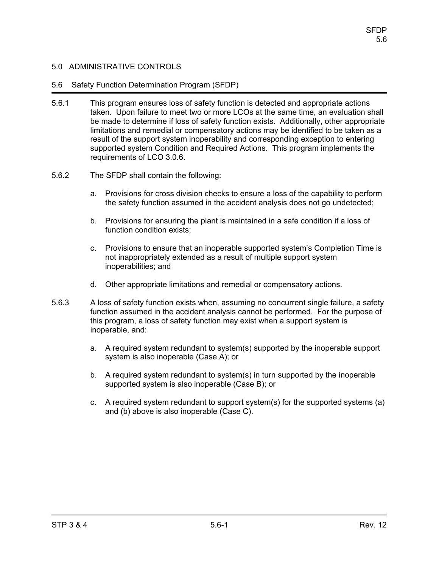## 5.6 Safety Function Determination Program (SFDP)

- 5.6.1 This program ensures loss of safety function is detected and appropriate actions taken. Upon failure to meet two or more LCOs at the same time, an evaluation shall be made to determine if loss of safety function exists. Additionally, other appropriate limitations and remedial or compensatory actions may be identified to be taken as a result of the support system inoperability and corresponding exception to entering supported system Condition and Required Actions. This program implements the requirements of LCO 3.0.6.
- 5.6.2 The SFDP shall contain the following:
	- a. Provisions for cross division checks to ensure a loss of the capability to perform the safety function assumed in the accident analysis does not go undetected;
	- b. Provisions for ensuring the plant is maintained in a safe condition if a loss of function condition exists;
	- c. Provisions to ensure that an inoperable supported system's Completion Time is not inappropriately extended as a result of multiple support system inoperabilities; and
	- d. Other appropriate limitations and remedial or compensatory actions.
- 5.6.3 A loss of safety function exists when, assuming no concurrent single failure, a safety function assumed in the accident analysis cannot be performed. For the purpose of this program, a loss of safety function may exist when a support system is inoperable, and:
	- a. A required system redundant to system(s) supported by the inoperable support system is also inoperable (Case A); or
	- b. A required system redundant to system(s) in turn supported by the inoperable supported system is also inoperable (Case B); or
	- c. A required system redundant to support system(s) for the supported systems (a) and (b) above is also inoperable (Case C).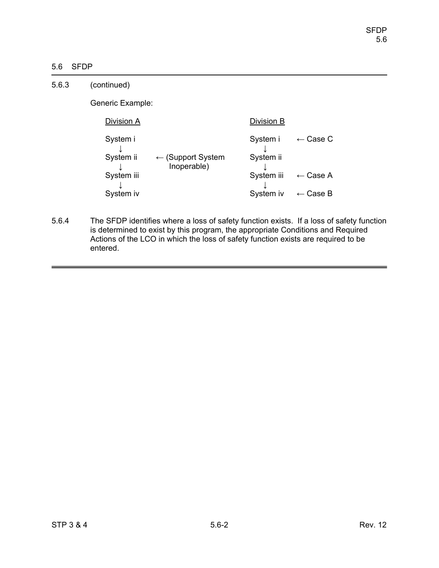# 5.6 SFDP

| 5.6.3 | (continued)           |                                             |                       |                     |
|-------|-----------------------|---------------------------------------------|-----------------------|---------------------|
|       | Generic Example:      |                                             |                       |                     |
|       | Division A            | Division B                                  |                       |                     |
|       | System i<br>System ii | $\leftarrow$ (Support System<br>Inoperable) | System i<br>System ii | $\leftarrow$ Case C |
|       | System iii            |                                             | System iii            | $\leftarrow$ Case A |
|       | System iv             |                                             | System iv             | $\leftarrow$ Case B |

5.6.4 The SFDP identifies where a loss of safety function exists. If a loss of safety function is determined to exist by this program, the appropriate Conditions and Required Actions of the LCO in which the loss of safety function exists are required to be entered.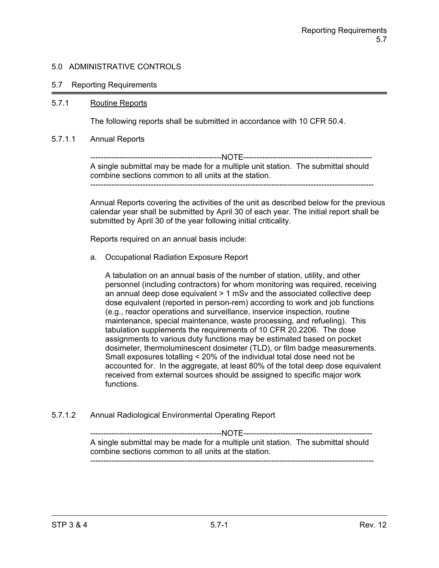### 5.7 Reporting Requirements

### 5.7.1 Routine Reports

The following reports shall be submitted in accordance with 10 CFR 50.4.

#### 5.7.1.1 Annual Reports

--------------------------------------------------NOTE------------------------------------------------- A single submittal may be made for a multiple unit station. The submittal should combine sections common to all units at the station. ------------------------------------------------------------------------------------------------------------

Annual Reports covering the activities of the unit as described below for the previous calendar year shall be submitted by April 30 of each year. The initial report shall be submitted by April 30 of the year following initial criticality.

Reports required on an annual basis include:

a. Occupational Radiation Exposure Report

A tabulation on an annual basis of the number of station, utility, and other personnel (including contractors) for whom monitoring was required, receiving an annual deep dose equivalent > 1 mSv and the associated collective deep dose equivalent (reported in person-rem) according to work and job functions (e.g., reactor operations and surveillance, inservice inspection, routine maintenance, special maintenance, waste processing, and refueling). This tabulation supplements the requirements of 10 CFR 20.2206. The dose assignments to various duty functions may be estimated based on pocket dosimeter, thermoluminescent dosimeter (TLD), or film badge measurements. Small exposures totalling < 20% of the individual total dose need not be accounted for. In the aggregate, at least 80% of the total deep dose equivalent received from external sources should be assigned to specific major work functions.

5.7.1.2 Annual Radiological Environmental Operating Report

--------------------------------------------------NOTE------------------------------------------------- A single submittal may be made for a multiple unit station. The submittal should combine sections common to all units at the station. ------------------------------------------------------------------------------------------------------------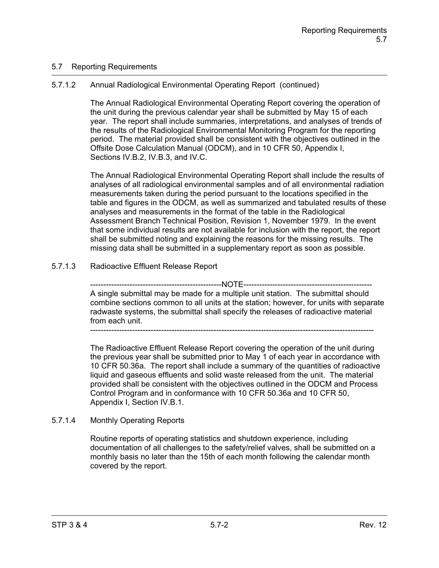# 5.7 Reporting Requirements

# 5.7.1.2 Annual Radiological Environmental Operating Report (continued)

The Annual Radiological Environmental Operating Report covering the operation of the unit during the previous calendar year shall be submitted by May 15 of each year. The report shall include summaries, interpretations, and analyses of trends of the results of the Radiological Environmental Monitoring Program for the reporting period. The material provided shall be consistent with the objectives outlined in the Offsite Dose Calculation Manual (ODCM), and in 10 CFR 50, Appendix I, Sections IV.B.2, IV.B.3, and IV.C.

The Annual Radiological Environmental Operating Report shall include the results of analyses of all radiological environmental samples and of all environmental radiation measurements taken during the period pursuant to the locations specified in the table and figures in the ODCM, as well as summarized and tabulated results of these analyses and measurements in the format of the table in the Radiological Assessment Branch Technical Position, Revision 1, November 1979. In the event that some individual results are not available for inclusion with the report, the report shall be submitted noting and explaining the reasons for the missing results. The missing data shall be submitted in a supplementary report as soon as possible.

# 5.7.1.3 Radioactive Effluent Release Report

--------------NOTE-------------A single submittal may be made for a multiple unit station. The submittal should combine sections common to all units at the station; however, for units with separate radwaste systems, the submittal shall specify the releases of radioactive material from each unit.

------------------------------------------------------------------------------------------------------------

The Radioactive Effluent Release Report covering the operation of the unit during the previous year shall be submitted prior to May 1 of each year in accordance with 10 CFR 50.36a. The report shall include a summary of the quantities of radioactive liquid and gaseous effluents and solid waste released from the unit. The material provided shall be consistent with the objectives outlined in the ODCM and Process Control Program and in conformance with 10 CFR 50.36a and 10 CFR 50, Appendix I, Section IV.B.1.

## 5.7.1.4 Monthly Operating Reports

Routine reports of operating statistics and shutdown experience, including documentation of all challenges to the safety/relief valves, shall be submitted on a monthly basis no later than the 15th of each month following the calendar month covered by the report.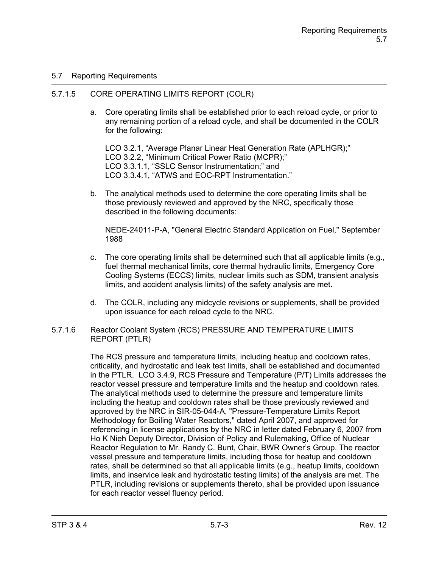## 5.7 Reporting Requirements

## 5.7.1.5 CORE OPERATING LIMITS REPORT (COLR)

a. Core operating limits shall be established prior to each reload cycle, or prior to any remaining portion of a reload cycle, and shall be documented in the COLR for the following:

LCO 3.2.1, "Average Planar Linear Heat Generation Rate (APLHGR);" LCO 3.2.2, "Minimum Critical Power Ratio (MCPR);" LCO 3.3.1.1, "SSLC Sensor Instrumentation;" and LCO 3.3.4.1, "ATWS and EOC-RPT Instrumentation."

b. The analytical methods used to determine the core operating limits shall be those previously reviewed and approved by the NRC, specifically those described in the following documents:

NEDE-24011-P-A, "General Electric Standard Application on Fuel," September 1988

- c. The core operating limits shall be determined such that all applicable limits  $(e.g.,)$ fuel thermal mechanical limits, core thermal hydraulic limits, Emergency Core Cooling Systems (ECCS) limits, nuclear limits such as SDM, transient analysis limits, and accident analysis limits) of the safety analysis are met.
- d. The COLR, including any midcycle revisions or supplements, shall be provided upon issuance for each reload cycle to the NRC.
- 5.7.1.6 Reactor Coolant System (RCS) PRESSURE AND TEMPERATURE LIMITS REPORT (PTLR)

The RCS pressure and temperature limits, including heatup and cooldown rates, criticality, and hydrostatic and leak test limits, shall be established and documented in the PTLR. LCO 3.4.9, RCS Pressure and Temperature (P/T) Limits addresses the reactor vessel pressure and temperature limits and the heatup and cooldown rates. The analytical methods used to determine the pressure and temperature limits including the heatup and cooldown rates shall be those previously reviewed and approved by the NRC in SIR-05-044-A, "Pressure-Temperature Limits Report Methodology for Boiling Water Reactors," dated April 2007, and approved for referencing in license applications by the NRC in letter dated February 6, 2007 from Ho K Nieh Deputy Director, Division of Policy and Rulemaking, Office of Nuclear Reactor Regulation to Mr. Randy C. Bunt, Chair, BWR Owner's Group. The reactor vessel pressure and temperature limits, including those for heatup and cooldown rates, shall be determined so that all applicable limits (e.g., heatup limits, cooldown limits, and inservice leak and hydrostatic testing limits) of the analysis are met. The PTLR, including revisions or supplements thereto, shall be provided upon issuance for each reactor vessel fluency period.